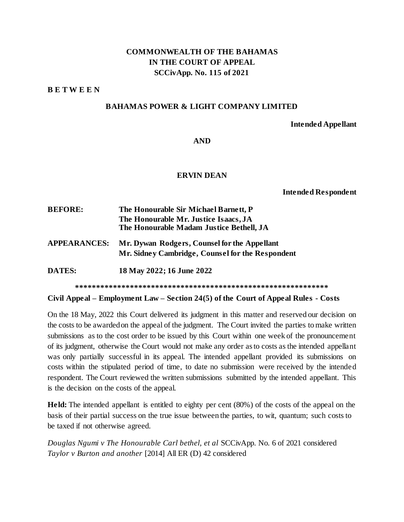## **COMMONWEALTH OF THE BAHAMAS IN THE COURT OF APPEAL SCCivApp. No. 115 of 2021**

**B E T W E E N** 

### **BAHAMAS POWER & LIGHT COMPANY LIMITED**

#### **Intended Appellant**

**AND**

## **ERVIN DEAN**

**Intended Respondent**

| <b>BEFORE:</b>      | The Honourable Sir Michael Barnett, P            |
|---------------------|--------------------------------------------------|
|                     | The Honourable Mr. Justice Isaacs, JA            |
|                     | The Honourable Madam Justice Bethell, JA         |
| <b>APPEARANCES:</b> | Mr. Dywan Rodgers, Counsel for the Appellant     |
|                     | Mr. Sidney Cambridge, Counsel for the Respondent |
| <b>DATES:</b>       | 18 May 2022; 16 June 2022                        |
|                     |                                                  |

#### **Civil Appeal – Employment Law – Section 24(5) of the Court of Appeal Rules - Costs**

On the 18 May, 2022 this Court delivered its judgment in this matter and reserved our decision on the costs to be awarded on the appeal of the judgment. The Court invited the parties to make written submissions as to the cost order to be issued by this Court within one week of the pronouncement of its judgment, otherwise the Court would not make any order as to costs as the intended appellant was only partially successful in its appeal. The intended appellant provided its submissions on costs within the stipulated period of time, to date no submission were received by the intended respondent. The Court reviewed the written submissions submitted by the intended appellant. This is the decision on the costs of the appeal.

**Held:** The intended appellant is entitled to eighty per cent (80%) of the costs of the appeal on the basis of their partial success on the true issue between the parties, to wit, quantum; such costs to be taxed if not otherwise agreed.

*Douglas Ngumi v The Honourable Carl bethel, et al* SCCivApp. No. 6 of 2021 considered *Taylor v Burton and another* [2014] All ER (D) 42 considered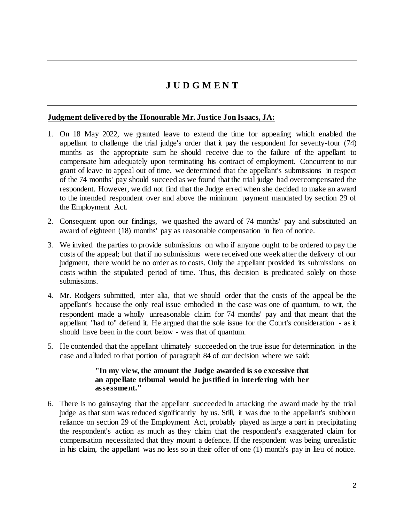# **J U D G M E N T**

## **Judgment delivered by the Honourable Mr. Justice Jon Isaacs, JA:**

- 1. On 18 May 2022, we granted leave to extend the time for appealing which enabled the appellant to challenge the trial judge's order that it pay the respondent for seventy-four (74) months as the appropriate sum he should receive due to the failure of the appellant to compensate him adequately upon terminating his contract of employment. Concurrent to our grant of leave to appeal out of time, we determined that the appellant's submissions in respect of the 74 months' pay should succeed as we found that the trial judge had overcompensated the respondent. However, we did not find that the Judge erred when she decided to make an award to the intended respondent over and above the minimum payment mandated by section 29 of the Employment Act.
- 2. Consequent upon our findings, we quashed the award of 74 months' pay and substituted an award of eighteen (18) months' pay as reasonable compensation in lieu of notice.
- 3. We invited the parties to provide submissions on who if anyone ought to be ordered to pay the costs of the appeal; but that if no submissions were received one week after the delivery of our judgment, there would be no order as to costs. Only the appellant provided its submissions on costs within the stipulated period of time. Thus, this decision is predicated solely on those submissions.
- 4. Mr. Rodgers submitted, inter alia, that we should order that the costs of the appeal be the appellant's because the only real issue embodied in the case was one of quantum, to wit, the respondent made a wholly unreasonable claim for 74 months' pay and that meant that the appellant "had to" defend it. He argued that the sole issue for the Court's consideration - as it should have been in the court below - was that of quantum.
- 5. He contended that the appellant ultimately succeeded on the true issue for determination in the case and alluded to that portion of paragraph 84 of our decision where we said:

## **"In my view, the amount the Judge awarded is so excessive that an appellate tribunal would be justified in interfering with her assessment."**

6. There is no gainsaying that the appellant succeeded in attacking the award made by the trial judge as that sum was reduced significantly by us. Still, it was due to the appellant's stubborn reliance on section 29 of the Employment Act, probably played as large a part in precipitating the respondent's action as much as they claim that the respondent's exaggerated claim for compensation necessitated that they mount a defence. If the respondent was being unrealistic in his claim, the appellant was no less so in their offer of one (1) month's pay in lieu of notice.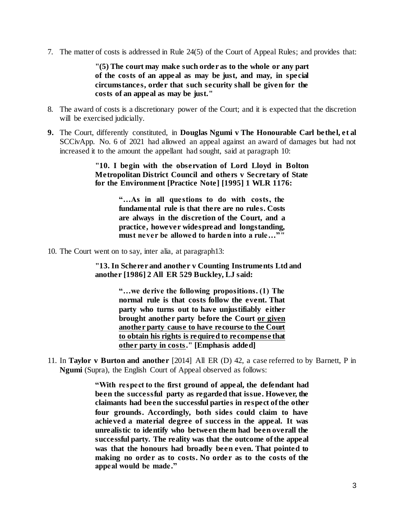7. The matter of costs is addressed in Rule 24(5) of the Court of Appeal Rules; and provides that:

**"(5) The court may make such order as to the whole or any part of the costs of an appeal as may be just, and may, in special circumstances, order that such security shall be given for the costs of an appeal as may be just."**

- 8. The award of costs is a discretionary power of the Court; and it is expected that the discretion will be exercised judicially.
- **9.** The Court, differently constituted, in **Douglas Ngumi v The Honourable Carl bethel, et al**  SCCivApp. No. 6 of 2021 had allowed an appeal against an award of damages but had not increased it to the amount the appellant had sought, said at paragraph 10:

**"10. I begin with the observation of Lord Lloyd in Bolton Metropolitan District Council and others v Secretary of State for the Environment [Practice Note] [1995] 1 WLR 1176:** 

> **"…As in all questions to do with costs, the fundamental rule is that there are no rules. Costs are always in the discretion of the Court, and a practice, however widespread and longstanding, must never be allowed to harden into a rule…""**

10. The Court went on to say, inter alia, at paragraph13:

**"13. In Scherer and another v Counting Instruments Ltd and another [1986] 2 All ER 529 Buckley, LJ said:** 

> **"…we derive the following propositions. (1) The normal rule is that costs follow the event. That party who turns out to have unjustifiably either brought another party before the Court or given another party cause to have recourse to the Court to obtain his rights is required to recompense that other party in costs." [Emphasis added]**

11. In **Taylor v Burton and another** [2014] All ER (D) 42, a case referred to by Barnett, P in **Ngumi** (Supra), the English Court of Appeal observed as follows:

> **"With respect to the first ground of appeal, the defendant had been the successful party as regarded that issue. However, the claimants had been the successful parties in respect of the other four grounds. Accordingly, both sides could claim to have achieved a material degree of success in the appeal. It was unrealistic to identify who between them had been overall the successful party. The reality was that the outcome of the appeal was that the honours had broadly been even. That pointed to making no order as to costs. No order as to the costs of the appeal would be made."**